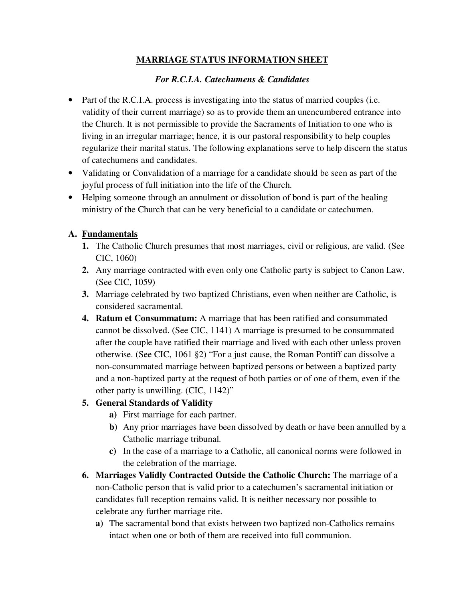## **MARRIAGE STATUS INFORMATION SHEET**

## *For R.C.I.A. Catechumens & Candidates*

- Part of the R.C.I.A. process is investigating into the status of married couples (i.e. validity of their current marriage) so as to provide them an unencumbered entrance into the Church. It is not permissible to provide the Sacraments of Initiation to one who is living in an irregular marriage; hence, it is our pastoral responsibility to help couples regularize their marital status. The following explanations serve to help discern the status of catechumens and candidates.
- Validating or Convalidation of a marriage for a candidate should be seen as part of the joyful process of full initiation into the life of the Church.
- Helping someone through an annulment or dissolution of bond is part of the healing ministry of the Church that can be very beneficial to a candidate or catechumen.

## **A. Fundamentals**

- **1.** The Catholic Church presumes that most marriages, civil or religious, are valid. (See CIC, 1060)
- **2.** Any marriage contracted with even only one Catholic party is subject to Canon Law. (See CIC, 1059)
- **3.** Marriage celebrated by two baptized Christians, even when neither are Catholic, is considered sacramental.
- **4. Ratum et Consummatum:** A marriage that has been ratified and consummated cannot be dissolved. (See CIC, 1141) A marriage is presumed to be consummated after the couple have ratified their marriage and lived with each other unless proven otherwise. (See CIC, 1061 §2) "For a just cause, the Roman Pontiff can dissolve a non-consummated marriage between baptized persons or between a baptized party and a non-baptized party at the request of both parties or of one of them, even if the other party is unwilling. (CIC, 1142)"

#### **5. General Standards of Validity**

- **a)** First marriage for each partner.
- **b)** Any prior marriages have been dissolved by death or have been annulled by a Catholic marriage tribunal.
- **c)** In the case of a marriage to a Catholic, all canonical norms were followed in the celebration of the marriage.
- **6. Marriages Validly Contracted Outside the Catholic Church:** The marriage of a non-Catholic person that is valid prior to a catechumen's sacramental initiation or candidates full reception remains valid. It is neither necessary nor possible to celebrate any further marriage rite.
	- **a)** The sacramental bond that exists between two baptized non-Catholics remains intact when one or both of them are received into full communion.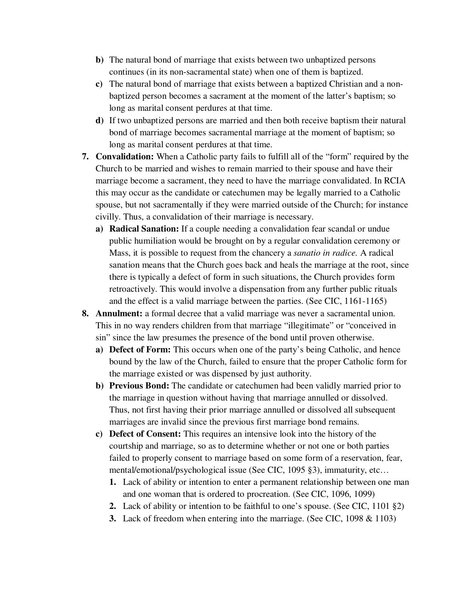- **b)** The natural bond of marriage that exists between two unbaptized persons continues (in its non-sacramental state) when one of them is baptized.
- **c)** The natural bond of marriage that exists between a baptized Christian and a nonbaptized person becomes a sacrament at the moment of the latter's baptism; so long as marital consent perdures at that time.
- **d)** If two unbaptized persons are married and then both receive baptism their natural bond of marriage becomes sacramental marriage at the moment of baptism; so long as marital consent perdures at that time.
- **7. Convalidation:** When a Catholic party fails to fulfill all of the "form" required by the Church to be married and wishes to remain married to their spouse and have their marriage become a sacrament, they need to have the marriage convalidated. In RCIA this may occur as the candidate or catechumen may be legally married to a Catholic spouse, but not sacramentally if they were married outside of the Church; for instance civilly. Thus, a convalidation of their marriage is necessary.
	- **a) Radical Sanation:** If a couple needing a convalidation fear scandal or undue public humiliation would be brought on by a regular convalidation ceremony or Mass, it is possible to request from the chancery a *sanatio in radice.* A radical sanation means that the Church goes back and heals the marriage at the root, since there is typically a defect of form in such situations, the Church provides form retroactively. This would involve a dispensation from any further public rituals and the effect is a valid marriage between the parties. (See CIC, 1161-1165)
- **8. Annulment:** a formal decree that a valid marriage was never a sacramental union. This in no way renders children from that marriage "illegitimate" or "conceived in sin" since the law presumes the presence of the bond until proven otherwise.
	- **a) Defect of Form:** This occurs when one of the party's being Catholic, and hence bound by the law of the Church, failed to ensure that the proper Catholic form for the marriage existed or was dispensed by just authority.
	- **b) Previous Bond:** The candidate or catechumen had been validly married prior to the marriage in question without having that marriage annulled or dissolved. Thus, not first having their prior marriage annulled or dissolved all subsequent marriages are invalid since the previous first marriage bond remains.
	- **c) Defect of Consent:** This requires an intensive look into the history of the courtship and marriage, so as to determine whether or not one or both parties failed to properly consent to marriage based on some form of a reservation, fear, mental/emotional/psychological issue (See CIC, 1095 §3), immaturity, etc…
		- **1.** Lack of ability or intention to enter a permanent relationship between one man and one woman that is ordered to procreation. (See CIC, 1096, 1099)
		- **2.** Lack of ability or intention to be faithful to one's spouse. (See CIC, 1101 §2)
		- **3.** Lack of freedom when entering into the marriage. (See CIC, 1098 & 1103)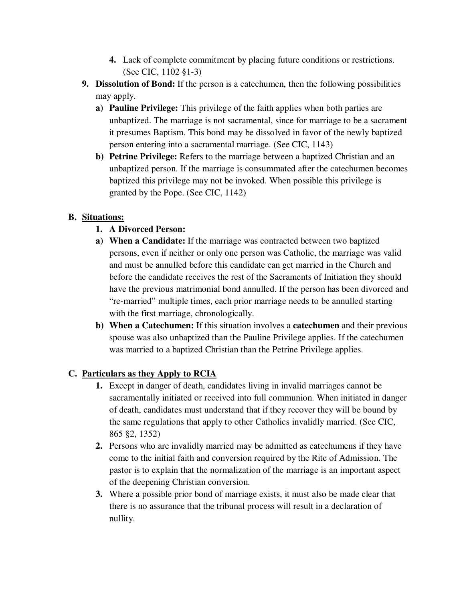- **4.** Lack of complete commitment by placing future conditions or restrictions. (See CIC, 1102 §1-3)
- **9. Dissolution of Bond:** If the person is a catechumen, then the following possibilities may apply.
	- **a) Pauline Privilege:** This privilege of the faith applies when both parties are unbaptized. The marriage is not sacramental, since for marriage to be a sacrament it presumes Baptism. This bond may be dissolved in favor of the newly baptized person entering into a sacramental marriage. (See CIC, 1143)
	- **b) Petrine Privilege:** Refers to the marriage between a baptized Christian and an unbaptized person. If the marriage is consummated after the catechumen becomes baptized this privilege may not be invoked. When possible this privilege is granted by the Pope. (See CIC, 1142)

# **B. Situations:**

- **1. A Divorced Person:**
- **a) When a Candidate:** If the marriage was contracted between two baptized persons, even if neither or only one person was Catholic, the marriage was valid and must be annulled before this candidate can get married in the Church and before the candidate receives the rest of the Sacraments of Initiation they should have the previous matrimonial bond annulled. If the person has been divorced and "re-married" multiple times, each prior marriage needs to be annulled starting with the first marriage, chronologically.
- **b) When a Catechumen:** If this situation involves a **catechumen** and their previous spouse was also unbaptized than the Pauline Privilege applies. If the catechumen was married to a baptized Christian than the Petrine Privilege applies.

# **C. Particulars as they Apply to RCIA**

- **1.** Except in danger of death, candidates living in invalid marriages cannot be sacramentally initiated or received into full communion. When initiated in danger of death, candidates must understand that if they recover they will be bound by the same regulations that apply to other Catholics invalidly married. (See CIC, 865 §2, 1352)
- **2.** Persons who are invalidly married may be admitted as catechumens if they have come to the initial faith and conversion required by the Rite of Admission. The pastor is to explain that the normalization of the marriage is an important aspect of the deepening Christian conversion.
- **3.** Where a possible prior bond of marriage exists, it must also be made clear that there is no assurance that the tribunal process will result in a declaration of nullity.